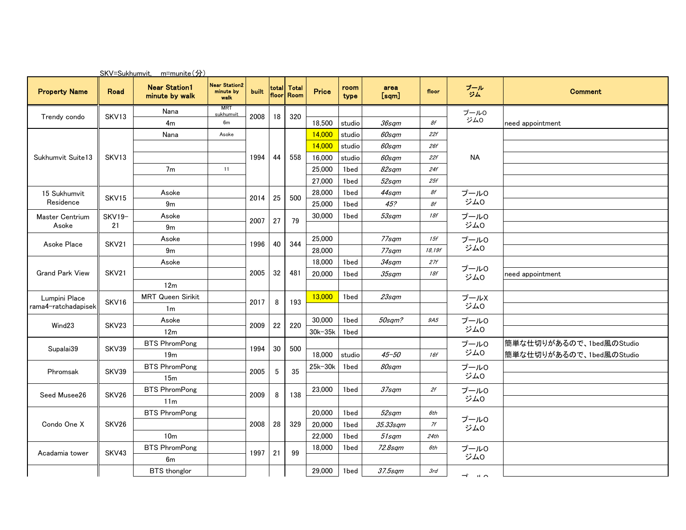|                                      |                   | SKV=Sukhumvit. m=munite(分)             |                                           |              |             |                           |         |              |               |        |                   |                          |
|--------------------------------------|-------------------|----------------------------------------|-------------------------------------------|--------------|-------------|---------------------------|---------|--------------|---------------|--------|-------------------|--------------------------|
| <b>Property Name</b>                 | Road              | <b>Near Station1</b><br>minute by walk | <b>Near Station2</b><br>minute by<br>walk | <b>built</b> |             | total Total<br>floor Room | Price   | room<br>type | area<br>[sqm] | floor  | プール<br>ジム         | <b>Comment</b>           |
| Trendy condo                         | SKV13             | Nana                                   | <b>MRT</b><br>sukhumvit                   | 2008         | 18          | 320                       |         |              |               |        | プール0              |                          |
|                                      |                   | 4 <sub>m</sub>                         | 6m                                        |              |             |                           | 18,500  | studio       | 36sqm         | 8f     | ジム0               | need appointment         |
|                                      |                   | Nana                                   | Asoke                                     |              | 44          |                           | 14,000  | studio       | 60sqm         | 22f    | <b>NA</b>         |                          |
| Sukhumvit Suite13                    | SKV <sub>13</sub> |                                        |                                           |              |             | 558                       | 14,000  | studio       | 60sqm         | 26f    |                   |                          |
|                                      |                   |                                        |                                           | 1994         |             |                           | 16,000  | studio       | 60sqm         | 22f    |                   |                          |
|                                      |                   | 7 <sub>m</sub>                         | 11                                        |              |             |                           | 25,000  | 1bed         | 82sqm         | 24f    |                   |                          |
|                                      |                   |                                        |                                           |              |             |                           | 27,000  | 1bed         | 52sqm         | 25f    |                   |                          |
| 15 Sukhumvit                         | SKV15             | Asoke                                  |                                           | 2014         | 25          | 500                       | 28,000  | 1bed         | 44sqm         | 8f     | プール0              |                          |
| Residence                            |                   | 9m                                     |                                           |              |             |                           | 25,000  | 1bed         | 45?           | 8f     | ジム0               |                          |
| Master Centrium                      | SKV19-            | Asoke                                  |                                           |              | 27          | 79                        | 30,000  | 1bed         | 53sqm         | 18f    | プール0<br>ジム0       |                          |
| Asoke                                | 21                | 9m                                     |                                           | 2007         |             |                           |         |              |               |        |                   |                          |
| Asoke Place                          | SKV21             | Asoke                                  |                                           | 1996         | 40          | 344                       | 25,000  |              | 77sqm         | 15f    | プール0<br>ジム0       |                          |
|                                      |                   | 9m                                     |                                           |              |             |                           | 28,000  |              | 77sam         | 18,19f |                   |                          |
| <b>Grand Park View</b>               | SKV21             | Asoke                                  |                                           |              | 32          | 481                       | 18,000  | 1bed         | 34sqm         | 27f    | プール0<br>ジム0       |                          |
|                                      |                   |                                        |                                           | 2005         |             |                           | 20,000  | 1bed         | $35$ sqm      | 18f    |                   | need appointment         |
|                                      |                   | 12 <sub>m</sub>                        |                                           |              |             |                           |         |              |               |        |                   |                          |
| Lumpini Place<br>rama4-ratchadapisek | SKV16             | <b>MRT Queen Sirikit</b>               |                                           |              | 8           | 193                       | 13,000  | 1bed         | $23$ sqm      |        | プールX              |                          |
|                                      |                   | 1 <sub>m</sub>                         |                                           | 2017         |             |                           |         |              |               |        | ジム0               |                          |
|                                      | SKV23             | Asoke                                  |                                           |              | 22          |                           | 30,000  | 1bed         | 50sqm?        | 9A5    | プール0<br>ジム0       |                          |
| Wind <sub>23</sub>                   |                   | 12 <sub>m</sub>                        |                                           | 2009         |             | 220                       | 30k-35k | 1bed         |               |        |                   |                          |
|                                      | SKV39             | <b>BTS PhromPong</b>                   |                                           |              | 30          | 500                       |         |              |               |        | プール0<br>ジム0       | 簡単な仕切りがあるので、1bed風のStudio |
| Supalai39                            |                   | 19 <sub>m</sub>                        |                                           | 1994         |             |                           | 18.000  | studio       | $45 - 50$     | 16f    |                   | 簡単な仕切りがあるので、1bed風のStudio |
|                                      | SKV39             | <b>BTS PhromPong</b>                   |                                           |              |             | 35                        | 25k-30k | 1bed         | 80sqm         |        | プール0<br>ジム0       |                          |
| Phromsak                             |                   | 15m                                    |                                           | 2005         | $\mathbf 5$ |                           |         |              |               |        |                   |                          |
|                                      | SKV26             | <b>BTS PhromPong</b>                   |                                           |              |             |                           | 23,000  | 1bed         | 37sqm         | 2f     | プール0<br>ジム0       |                          |
| Seed Musee26                         |                   | 11 <sub>m</sub>                        |                                           | 2009         | 8           | 138                       |         |              |               |        |                   |                          |
| Condo One X                          | SKV26             | <b>BTS PhromPong</b>                   |                                           |              |             | 329                       | 20,000  | 1bed         | 52sqm         | 6th    | プール0<br>ジム0       |                          |
|                                      |                   |                                        |                                           | 2008         | 28          |                           | 20,000  | 1bed         | 35.33sqm      | 7f     |                   |                          |
|                                      |                   | 10 <sub>m</sub>                        |                                           |              |             |                           | 22,000  | 1bed         | 51sqm         | 24th   |                   |                          |
| Acadamia tower                       | SKV43             | <b>BTS PhromPong</b>                   |                                           |              | 21          |                           | 18,000  | 1bed         | 72.8sqm       | 6th    | プール0<br>ジム0       |                          |
|                                      |                   | 6m                                     |                                           | 1997         |             | 99                        |         |              |               |        |                   |                          |
|                                      |                   | <b>BTS</b> thonglor                    |                                           |              |             |                           | 29,000  | 1bed         | $37.5$ sqm    | 3rd    |                   |                          |
|                                      |                   |                                        |                                           |              |             |                           |         |              |               |        | ⊸<br>$\mathbf{u}$ |                          |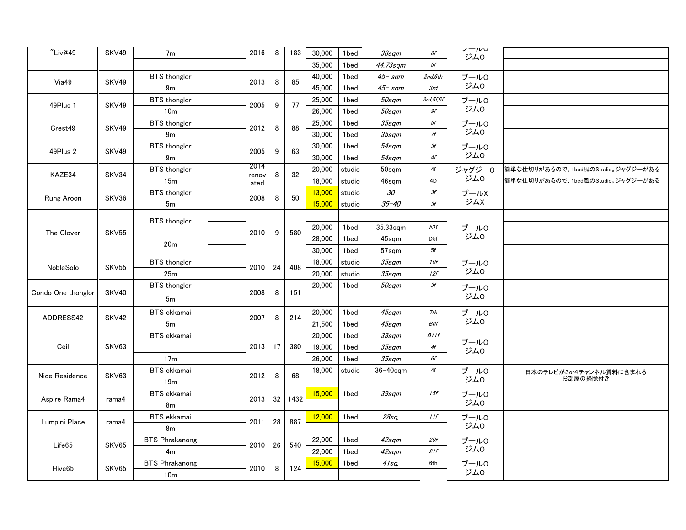| "Liv@49"           | SKV49             | 7m                    |  | 2016          | 8  | 183    | 30,000 | 1bed   | 38sqm           | 8f          | ノールい<br>ジムロ   |                                   |
|--------------------|-------------------|-----------------------|--|---------------|----|--------|--------|--------|-----------------|-------------|---------------|-----------------------------------|
|                    |                   |                       |  |               |    |        | 35,000 | 1bed   | 44.73sqm        | 5f          |               |                                   |
| Vi <sub>a49</sub>  | SKV49             | <b>BTS</b> thonglor   |  |               |    |        | 40,000 | 1bed   | $45 - sqm$      | 2nd,6th     | プール0          |                                   |
|                    |                   | 9 <sub>m</sub>        |  | 2013          | 8  | 85     | 45,000 | 1bed   | $45 - sqm$      | 3rd         | ジム0           |                                   |
| 49Plus 1           | SKV49             | <b>BTS</b> thonglor   |  |               | 9  |        | 25,000 | 1bed   | 50sqm           | 3rd, 5f, 6f | プール0          |                                   |
|                    |                   | 10 <sub>m</sub>       |  | 2005          |    | 77     | 26,000 | 1bed   | 50sqm           | 9f          | ジム0           |                                   |
| Crest49            | SKV49             | <b>BTS</b> thonglor   |  |               | 8  |        | 25,000 | 1bed   | $35$ sqm        | 5f          | プール0          |                                   |
|                    |                   | 9m                    |  | 2012          |    | 88     | 30,000 | 1bed   | $35$ sqm        | 7f          | ジム0           |                                   |
| 49Plus 2           | SKV49             | <b>BTS</b> thonglor   |  | 2005          | 9  | 63     | 30,000 | 1bed   | 54sqm           | 3f          | プール0          |                                   |
|                    |                   | 9m                    |  |               |    |        | 30,000 | 1bed   | 54sqm           | 4f          | ジム0           |                                   |
| KAZE34             | SKV34             | <b>BTS</b> thonglor   |  | 2014<br>renov | 8  | 32     | 20,000 | studio | 50sam           | 4f          | ジャグジー0<br>ジム0 | 簡単な仕切りがあるので、1bed風のStudio。ジャグジーがある |
|                    |                   | 15m                   |  | ated          |    |        | 18,000 | studio | 46sqm           | 4D          |               | 簡単な仕切りがあるので、1bed風のStudio。ジャグジーがある |
| Rung Aroon         | SKV36             | <b>BTS</b> thonglor   |  | 2008          | 8  | 50     | 13,000 | studio | 30              | 3f          | プールX          |                                   |
|                    |                   | 5 <sub>m</sub>        |  |               |    |        | 15,000 | studio | $35 - 40$       | 3f          | ジムX           |                                   |
|                    | SKV <sub>55</sub> | <b>BTS</b> thonglor   |  |               |    |        |        |        |                 |             |               |                                   |
| The Clover         |                   |                       |  | 2010          | 9  | 580    | 20,000 | 1bed   | 35.33sqm        | A7f         | プール0          |                                   |
|                    |                   | 20 <sub>m</sub>       |  |               |    | 28,000 | 1bed   | 45sqm  | D <sub>5f</sub> | ジム0         |               |                                   |
|                    |                   |                       |  |               |    |        | 30,000 | 1bed   | 57sqm           | 5f          |               |                                   |
| NobleSolo          | SKV55             | <b>BTS</b> thonglor   |  | 2010          | 24 | 408    | 18,000 | studio | $35$ sqm        | 10f         | プール0<br>ジム0   |                                   |
|                    |                   | 25m                   |  |               |    |        | 20,000 | studio | $35$ sqm        | 12f         |               |                                   |
|                    | SKV40             | <b>BTS</b> thonglor   |  |               | 8  |        | 20,000 | 1bed   | 50sqm           | Зf          | プール0          |                                   |
| Condo One thonglor |                   | 5m                    |  | 2008          |    | 151    |        |        |                 |             | ジム0           |                                   |
| ADDRESS42          | SKV42             | <b>BTS</b> ekkamai    |  | 2007          | 8  | 214    | 20,000 | 1bed   | 45sqm           | 7th         | プール0          |                                   |
|                    |                   | 5 <sub>m</sub>        |  |               |    |        | 21,500 | 1bed   | 45sqm           | B6f         | ジム0           |                                   |
|                    | SKV63             | <b>BTS</b> ekkamai    |  |               |    |        | 20,000 | 1bed   | $33$ sqm        | B11f        | プール0<br>ジム0   |                                   |
| Ceil               |                   |                       |  | 2013          | 17 | 380    | 19,000 | 1bed   | $35$ sqm        | 4f          |               |                                   |
|                    |                   | 17 <sub>m</sub>       |  |               |    |        | 26,000 | 1bed   | $35$ sqm        | 6f          |               |                                   |
| Nice Residence     | SKV63             | <b>BTS</b> ekkamai    |  | 2012          | 8  | 68     | 18,000 | studio | $36 - 40$ sqm   | 4f          | プール0<br>ジム0   | 日本のテレビが3or4チャンネル賃料に含まれる           |
|                    |                   | 19 <sub>m</sub>       |  |               |    |        |        |        |                 |             |               | お部屋の掃除付き                          |
| Aspire Rama4       | rama4             | <b>BTS</b> ekkamai    |  | 2013          | 32 | 1432   | 15,000 | 1bed   | 39sqm           | 15f         | プール0          |                                   |
|                    |                   | 8m                    |  |               |    |        |        |        |                 |             | ジム0           |                                   |
| Lumpini Place      | rama4             | <b>BTS</b> ekkamai    |  | 2011          | 28 | 887    | 12,000 | 1bed   | 28sq,           | 11f         | プール0          |                                   |
|                    |                   | 8m                    |  |               |    |        |        |        |                 |             | ジム0           |                                   |
| Life <sub>65</sub> | SKV65             | <b>BTS Phrakanong</b> |  | 2010          | 26 | 540    | 22,000 | 1bed   | 42sqm           | 20f         | プール0          |                                   |
|                    |                   | 4 <sub>m</sub>        |  |               |    |        | 22,000 | 1bed   | 42sqm           | 21f         | ジム0           |                                   |
| Hive <sub>65</sub> | SKV65             | <b>BTS Phrakanong</b> |  | 2010          | 8  | 124    | 15,000 | 1bed   | 41sq.           | 6th         | プール0          |                                   |
|                    |                   | 10 <sub>m</sub>       |  |               |    |        |        |        |                 |             | ジム0           |                                   |